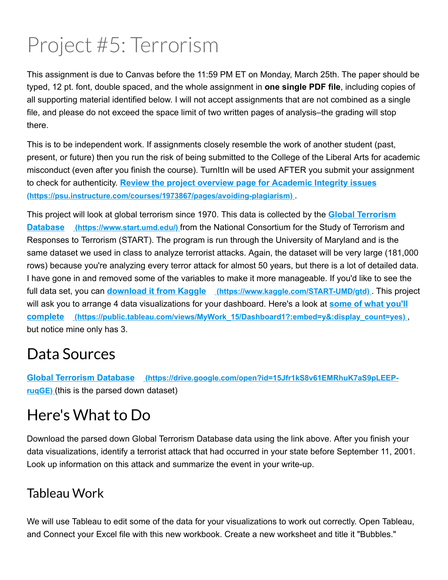# Project #5: Terrorism

This assignment is due to Canvas before the 11:59 PM ET on Monday, March 25th. The paper should be typed, 12 pt. font, double spaced, and the whole assignment in **one single PDF file**, including copies of all supporting material identified below. I will not accept assignments that are not combined as a single file, and please do not exceed the space limit of two written pages of analysis–the grading will stop there.

This is to be independent work. If assignments closely resemble the work of another student (past, present, or future) then you run the risk of being submitted to the College of the Liberal Arts for academic misconduct (even after you finish the course). TurnItIn will be used AFTER you submit your assignment to check for authenticity. **Review the project overview page for Academic Integrity issues (https://psu.instructure.com/courses/1973867/pages/avoiding-plagiarism).** 

This project will look at global terrorism since 1970. This data is collected by the **Global Terrorism Database** (https://www.start.umd.edu/) from the National Consortium for the Study of Terrorism and Responses to Terrorism (START). The program is run through the University of Maryland and is the same dataset we used in class to analyze terrorist attacks. Again, the dataset will be very large (181,000 rows) because you're analyzing every terror attack for almost 50 years, but there is a lot of detailed data. I have gone in and removed some of the variables to make it more manageable. If you'd like to see the full data set, you can **download it from Kaggle (https://www.kaggle.com/STARTUMD/gtd)** . This project will ask you to arrange 4 data visualizations for your dashboard. Here's a look at **some of what you'll complete (https://public.tableau.com/views/MyWork\_15/Dashboard1?:embed=y&:display\_count=yes)** , but notice mine only has 3.

# Data Sources

**Global Terrorism Database (https://drive.google.com/open?id=15Jfr1kS8v61EMRhuK7aS9pLEEPruqGE)** (this is the parsed down dataset)

# Here's What to Do

Download the parsed down Global Terrorism Database data using the link above. After you finish your data visualizations, identify a terrorist attack that had occurred in your state before September 11, 2001. Look up information on this attack and summarize the event in your write-up.

# Tableau Work

We will use Tableau to edit some of the data for your visualizations to work out correctly. Open Tableau, and Connect your Excel file with this new workbook. Create a new worksheet and title it "Bubbles."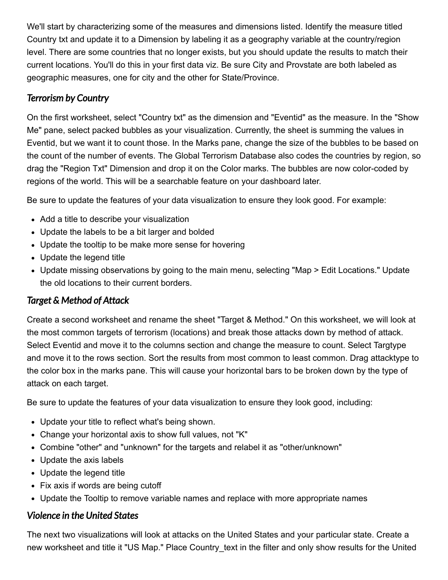We'll start by characterizing some of the measures and dimensions listed. Identify the measure titled Country txt and update it to a Dimension by labeling it as a geography variable at the country/region level. There are some countries that no longer exists, but you should update the results to match their current locations. You'll do this in your first data viz. Be sure City and Provstate are both labeled as geographic measures, one for city and the other for State/Province.

#### *Terrorism by Country*

On the first worksheet, select "Country txt" as the dimension and "Eventid" as the measure. In the "Show Me" pane, select packed bubbles as your visualization. Currently, the sheet is summing the values in Eventid, but we want it to count those. In the Marks pane, change the size of the bubbles to be based on the count of the number of events. The Global Terrorism Database also codes the countries by region, so drag the "Region Txt" Dimension and drop it on the Color marks. The bubbles are now color-coded by regions of the world. This will be a searchable feature on your dashboard later.

Be sure to update the features of your data visualization to ensure they look good. For example:

- Add a title to describe your visualization
- Update the labels to be a bit larger and bolded
- Update the tooltip to be make more sense for hovering
- Update the legend title
- Update missing observations by going to the main menu, selecting "Map > Edit Locations." Update the old locations to their current borders.

#### *Target & Method of Attack*

Create a second worksheet and rename the sheet "Target & Method." On this worksheet, we will look at the most common targets of terrorism (locations) and break those attacks down by method of attack. Select Eventid and move it to the columns section and change the measure to count. Select Targtype and move it to the rows section. Sort the results from most common to least common. Drag attacktype to the color box in the marks pane. This will cause your horizontal bars to be broken down by the type of attack on each target.

Be sure to update the features of your data visualization to ensure they look good, including:

- Update your title to reflect what's being shown.
- Change your horizontal axis to show full values, not "K"
- Combine "other" and "unknown" for the targets and relabel it as "other/unknown"
- Update the axis labels
- Update the legend title
- Fix axis if words are being cutoff
- Update the Tooltip to remove variable names and replace with more appropriate names

#### *Violence in the United States*

The next two visualizations will look at attacks on the United States and your particular state. Create a new worksheet and title it "US Map." Place Country text in the filter and only show results for the United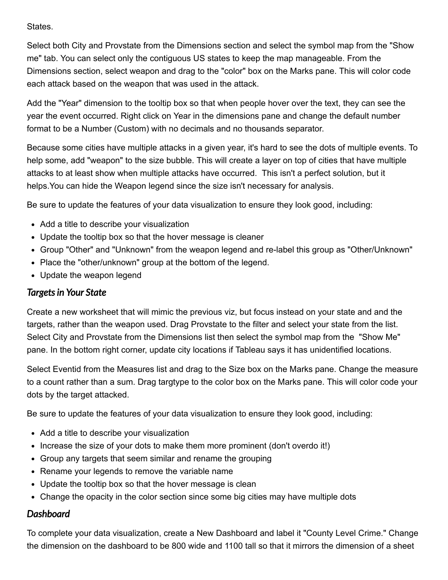States.

Select both City and Provstate from the Dimensions section and select the symbol map from the "Show me" tab. You can select only the contiguous US states to keep the map manageable. From the Dimensions section, select weapon and drag to the "color" box on the Marks pane. This will color code each attack based on the weapon that was used in the attack.

Add the "Year" dimension to the tooltip box so that when people hover over the text, they can see the year the event occurred. Right click on Year in the dimensions pane and change the default number format to be a Number (Custom) with no decimals and no thousands separator.

Because some cities have multiple attacks in a given year, it's hard to see the dots of multiple events. To help some, add "weapon" to the size bubble. This will create a layer on top of cities that have multiple attacks to at least show when multiple attacks have occurred. This isn't a perfect solution, but it helps.You can hide the Weapon legend since the size isn't necessary for analysis.

Be sure to update the features of your data visualization to ensure they look good, including:

- Add a title to describe your visualization
- Update the tooltip box so that the hover message is cleaner
- Group "Other" and "Unknown" from the weapon legend and re-label this group as "Other/Unknown"
- Place the "other/unknown" group at the bottom of the legend.
- Update the weapon legend

#### *Targetsin Your State*

Create a new worksheet that will mimic the previous viz, but focus instead on your state and and the targets, rather than the weapon used. Drag Provstate to the filter and select your state from the list. Select City and Provstate from the Dimensions list then select the symbol map from the "Show Me" pane. In the bottom right corner, update city locations if Tableau says it has unidentified locations.

Select Eventid from the Measures list and drag to the Size box on the Marks pane. Change the measure to a count rather than a sum. Drag targtype to the color box on the Marks pane. This will color code your dots by the target attacked.

Be sure to update the features of your data visualization to ensure they look good, including:

- Add a title to describe your visualization
- Increase the size of your dots to make them more prominent (don't overdo it!)
- Group any targets that seem similar and rename the grouping
- Rename your legends to remove the variable name
- Update the tooltip box so that the hover message is clean
- Change the opacity in the color section since some big cities may have multiple dots

#### *Dashboard*

To complete your data visualization, create a New Dashboard and label it "County Level Crime." Change the dimension on the dashboard to be 800 wide and 1100 tall so that it mirrors the dimension of a sheet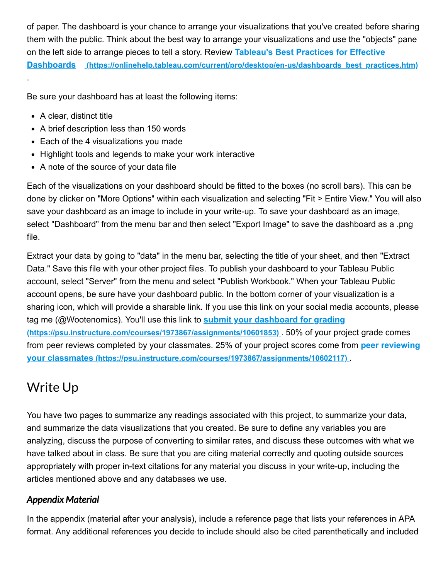of paper. The dashboard is your chance to arrange your visualizations that you've created before sharing them with the public. Think about the best way to arrange your visualizations and use the "objects" pane on the left side to arrange pieces to tell a story. Review **Tableau's Best Practices for Effective Dashboards** (https://onlinehelp.tableau.com/current/pro/desktop/en-us/dashboards best\_practices.htm)

Be sure your dashboard has at least the following items:

• A clear, distinct title

.

- A brief description less than 150 words
- Each of the 4 visualizations you made
- Highlight tools and legends to make your work interactive
- A note of the source of your data file

Each of the visualizations on your dashboard should be fitted to the boxes (no scroll bars). This can be done by clicker on "More Options" within each visualization and selecting "Fit > Entire View." You will also save your dashboard as an image to include in your write-up. To save your dashboard as an image, select "Dashboard" from the menu bar and then select "Export Image" to save the dashboard as a .png file.

Extract your data by going to "data" in the menu bar, selecting the title of your sheet, and then "Extract Data." Save this file with your other project files. To publish your dashboard to your Tableau Public account, select "Server" from the menu and select "Publish Workbook." When your Tableau Public account opens, be sure have your dashboard public. In the bottom corner of your visualization is a sharing icon, which will provide a sharable link. If you use this link on your social media accounts, please tag me (@Wootenomics). You'll use this link to **submit your dashboard for grading (https://psu.instructure.com/courses/1973867/assignments/10601853)** . 50% of your project grade comes from peer reviews completed by your classmates. 25% of your project scores come from **peer reviewing your classmates (https://psu.instructure.com/courses/1973867/assignments/10602117)** .

# Write Up

You have two pages to summarize any readings associated with this project, to summarize your data, and summarize the data visualizations that you created. Be sure to define any variables you are analyzing, discuss the purpose of converting to similar rates, and discuss these outcomes with what we have talked about in class. Be sure that you are citing material correctly and quoting outside sources appropriately with proper in-text citations for any material you discuss in your write-up, including the articles mentioned above and any databases we use.

#### *Appendix Material*

In the appendix (material after your analysis), include a reference page that lists your references in APA format. Any additional references you decide to include should also be cited parenthetically and included